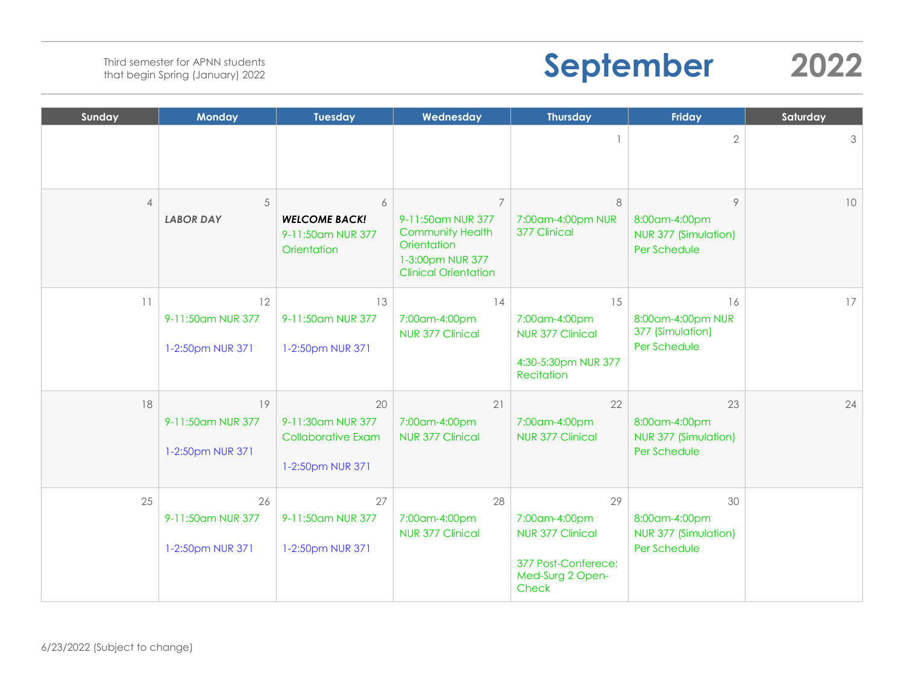# **September 2022**

| Sunday         | <b>Monday</b>                               | <b>Tuesday</b>                                                           | Wednesday                                                                                                                        | <b>Thursday</b>                                                                             | <b>Friday</b>                                               | Saturday        |
|----------------|---------------------------------------------|--------------------------------------------------------------------------|----------------------------------------------------------------------------------------------------------------------------------|---------------------------------------------------------------------------------------------|-------------------------------------------------------------|-----------------|
|                |                                             |                                                                          |                                                                                                                                  |                                                                                             | $\overline{2}$                                              | 3               |
| $\overline{4}$ | 5<br><b>LABOR DAY</b>                       | 6<br><b>WELCOME BACK!</b><br>9-11:50am NUR 377<br>Orientation            | $\overline{7}$<br>9-11:50am NUR 377<br><b>Community Health</b><br>Orientation<br>1-3:00pm NUR 377<br><b>Clinical Orientation</b> | 8<br>7:00am-4:00pm NUR<br>377 Clinical                                                      | 9<br>8:00am-4:00pm<br>NUR 377 (Simulation)<br>Per Schedule  | 10              |
| 11             | 12<br>9-11:50am NUR 377<br>1-2:50pm NUR 371 | 13<br>9-11:50am NUR 377<br>1-2:50pm NUR 371                              | 14<br>7:00am-4:00pm<br><b>NUR 377 Clinical</b>                                                                                   | 15<br>7:00am-4:00pm<br>NUR 377 Clinical<br>4:30-5:30pm NUR 377<br><b>Recitation</b>         | 16<br>8:00am-4:00pm NUR<br>377 (Simulation)<br>Per Schedule | 17 <sup>1</sup> |
| 18             | 19<br>9-11:50am NUR 377<br>1-2:50pm NUR 371 | 20<br>9-11:30am NUR 377<br><b>Collaborative Exam</b><br>1-2:50pm NUR 371 | 21<br>7:00am-4:00pm<br><b>NUR 377 Clinical</b>                                                                                   | 22<br>7:00am-4:00pm<br><b>NUR 377 Clinical</b>                                              | 23<br>8:00am-4:00pm<br>NUR 377 (Simulation)<br>Per Schedule | 24              |
| 25             | 26<br>9-11:50am NUR 377<br>1-2:50pm NUR 371 | 27<br>9-11:50am NUR 377<br>1-2:50pm NUR 371                              | 28<br>7:00am-4:00pm<br><b>NUR 377 Clinical</b>                                                                                   | 29<br>7:00am-4:00pm<br>NUR 377 Clinical<br>377 Post-Conferece:<br>Med-Surg 2 Open-<br>Check | 30<br>8:00am-4:00pm<br>NUR 377 (Simulation)<br>Per Schedule |                 |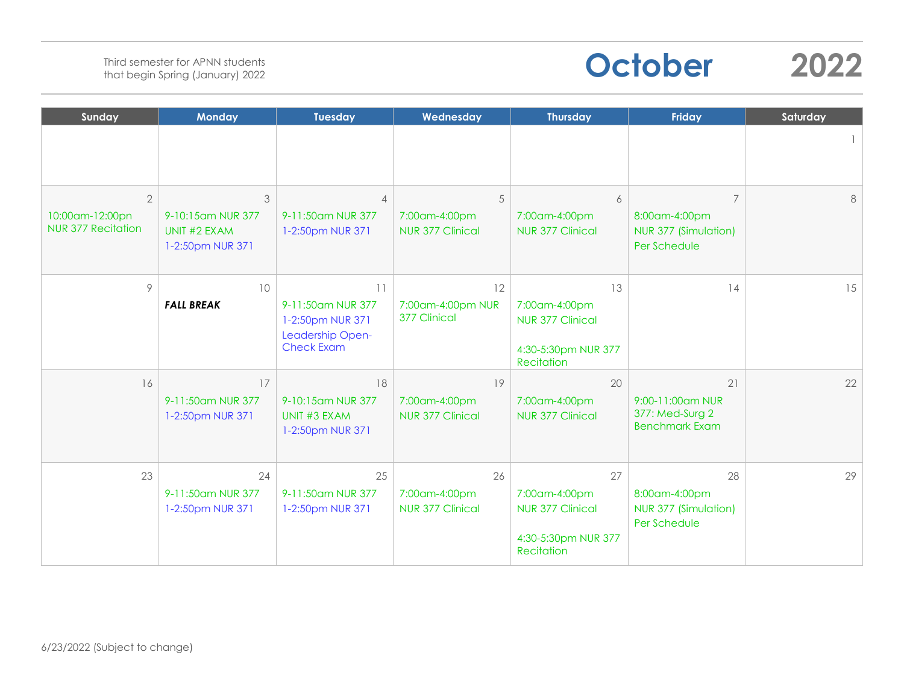

| Sunday                                                         | <b>Monday</b>                                              | <b>Tuesday</b>                                                                       | Wednesday                                      | <b>Thursday</b>                                                                     | <b>Friday</b>                                                           | Saturday |
|----------------------------------------------------------------|------------------------------------------------------------|--------------------------------------------------------------------------------------|------------------------------------------------|-------------------------------------------------------------------------------------|-------------------------------------------------------------------------|----------|
|                                                                |                                                            |                                                                                      |                                                |                                                                                     |                                                                         |          |
| $\overline{2}$<br>10:00am-12:00pn<br><b>NUR 377 Recitation</b> | 3<br>9-10:15am NUR 377<br>UNIT #2 EXAM<br>1-2:50pm NUR 371 | $\overline{\mathcal{A}}$<br>9-11:50am NUR 377<br>1-2:50pm NUR 371                    | 5<br>7:00am-4:00pm<br><b>NUR 377 Clinical</b>  | 6<br>7:00am-4:00pm<br><b>NUR 377 Clinical</b>                                       | $\overline{7}$<br>8:00am-4:00pm<br>NUR 377 (Simulation)<br>Per Schedule | 8        |
| 9                                                              | 10<br><b>FALL BREAK</b>                                    | 11<br>9-11:50am NUR 377<br>1-2:50pm NUR 371<br>Leadership Open-<br><b>Check Exam</b> | 12<br>7:00am-4:00pm NUR<br>377 Clinical        | 13<br>7:00am-4:00pm<br>NUR 377 Clinical<br>4:30-5:30pm NUR 377<br>Recitation        | 14                                                                      | 15       |
| 16                                                             | 17<br>9-11:50am NUR 377<br>1-2:50pm NUR 371                | 18<br>9-10:15am NUR 377<br>UNIT #3 EXAM<br>1-2:50pm NUR 371                          | 19<br>7:00am-4:00pm<br><b>NUR 377 Clinical</b> | 20<br>7:00am-4:00pm<br><b>NUR 377 Clinical</b>                                      | 21<br>9:00-11:00am NUR<br>377: Med-Surg 2<br><b>Benchmark Exam</b>      | 22       |
| 23                                                             | 24<br>9-11:50am NUR 377<br>1-2:50pm NUR 371                | 25<br>9-11:50am NUR 377<br>1-2:50pm NUR 371                                          | 26<br>7:00am-4:00pm<br><b>NUR 377 Clinical</b> | 27<br>7:00am-4:00pm<br><b>NUR 377 Clinical</b><br>4:30-5:30pm NUR 377<br>Recitation | 28<br>8:00am-4:00pm<br>NUR 377 (Simulation)<br>Per Schedule             | 29       |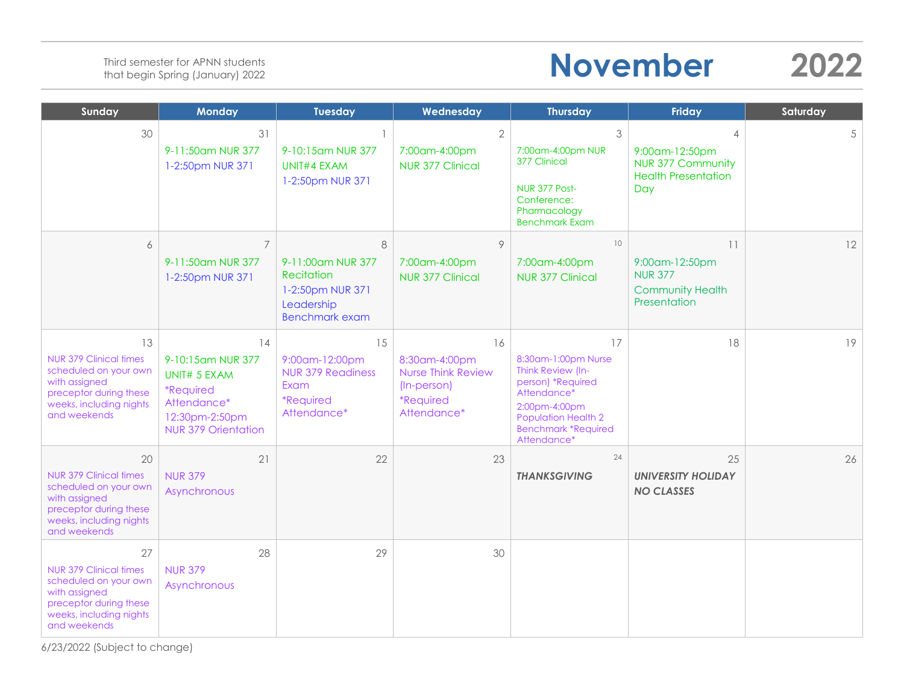# **November 2022**

| Sunday                                                                                                                                             | <b>Monday</b>                                                                                                                     | <b>Tuesday</b>                                                                                     | Wednesday                                                                                          | <b>Thursday</b>                                                                                                                                                                | <b>Friday</b>                                                                                     | Saturday |
|----------------------------------------------------------------------------------------------------------------------------------------------------|-----------------------------------------------------------------------------------------------------------------------------------|----------------------------------------------------------------------------------------------------|----------------------------------------------------------------------------------------------------|--------------------------------------------------------------------------------------------------------------------------------------------------------------------------------|---------------------------------------------------------------------------------------------------|----------|
| 30                                                                                                                                                 | 31<br>9-11:50am NUR 377<br>1-2:50pm NUR 371                                                                                       | $\mathbf{1}$<br>9-10:15am NUR 377<br>UNIT#4 EXAM<br>1-2:50pm NUR 371                               | $\overline{2}$<br>7:00am-4:00pm<br><b>NUR 377 Clinical</b>                                         | 3<br>7:00am-4:00pm NUR<br>377 Clinical<br>NUR 377 Post-<br>Conference:<br>Pharmacology<br><b>Benchmark Exam</b>                                                                | $\overline{4}$<br>9:00am-12:50pm<br><b>NUR 377 Community</b><br><b>Health Presentation</b><br>Day | 5        |
| 6                                                                                                                                                  | $\overline{7}$<br>9-11:50am NUR 377<br>1-2:50pm NUR 371                                                                           | 8<br>9-11:00am NUR 377<br>Recitation<br>1-2:50pm NUR 371<br>Leadership<br><b>Benchmark exam</b>    | 9<br>7:00am-4:00pm<br>NUR 377 Clinical                                                             | 10<br>7:00am-4:00pm<br>NUR 377 Clinical                                                                                                                                        | 11<br>9:00am-12:50pm<br><b>NUR 377</b><br><b>Community Health</b><br>Presentation                 | 12       |
| 13<br><b>NUR 379 Clinical times</b><br>scheduled on your own<br>with assigned<br>preceptor during these<br>weeks, including nights<br>and weekends | 14<br>9-10:15am NUR 377<br>UNIT# 5 EXAM<br><i><b>*Required</b></i><br>Attendance*<br>12:30pm-2:50pm<br><b>NUR 379 Orientation</b> | 15<br>9:00am-12:00pm<br><b>NUR 379 Readiness</b><br>Exam<br><i><b>*Required</b></i><br>Attendance* | 16<br>8:30am-4:00pm<br>Nurse Think Review<br>(In-person)<br><i><b>*Required</b></i><br>Attendance* | 17<br>8:30am-1:00pm Nurse<br>Think Review (In-<br>person) *Required<br>Attendance*<br>2:00pm-4:00pm<br><b>Population Health 2</b><br><b>Benchmark *Required</b><br>Attendance* | 18                                                                                                | 19       |
| 20<br><b>NUR 379 Clinical times</b><br>scheduled on your own<br>with assigned<br>preceptor during these<br>weeks, including nights<br>and weekends | 21<br><b>NUR 379</b><br>Asynchronous                                                                                              | 22                                                                                                 | 23                                                                                                 | 24<br><b>THANKSGIVING</b>                                                                                                                                                      | 25<br><b>UNIVERSITY HOLIDAY</b><br><b>NO CLASSES</b>                                              | 26       |
| 27<br><b>NUR 379 Clinical times</b><br>scheduled on your own<br>with assigned<br>preceptor during these<br>weeks, including nights<br>and weekends | 28<br><b>NUR 379</b><br>Asynchronous                                                                                              | 29                                                                                                 | 30                                                                                                 |                                                                                                                                                                                |                                                                                                   |          |

6/23/2022 (Subject to change)